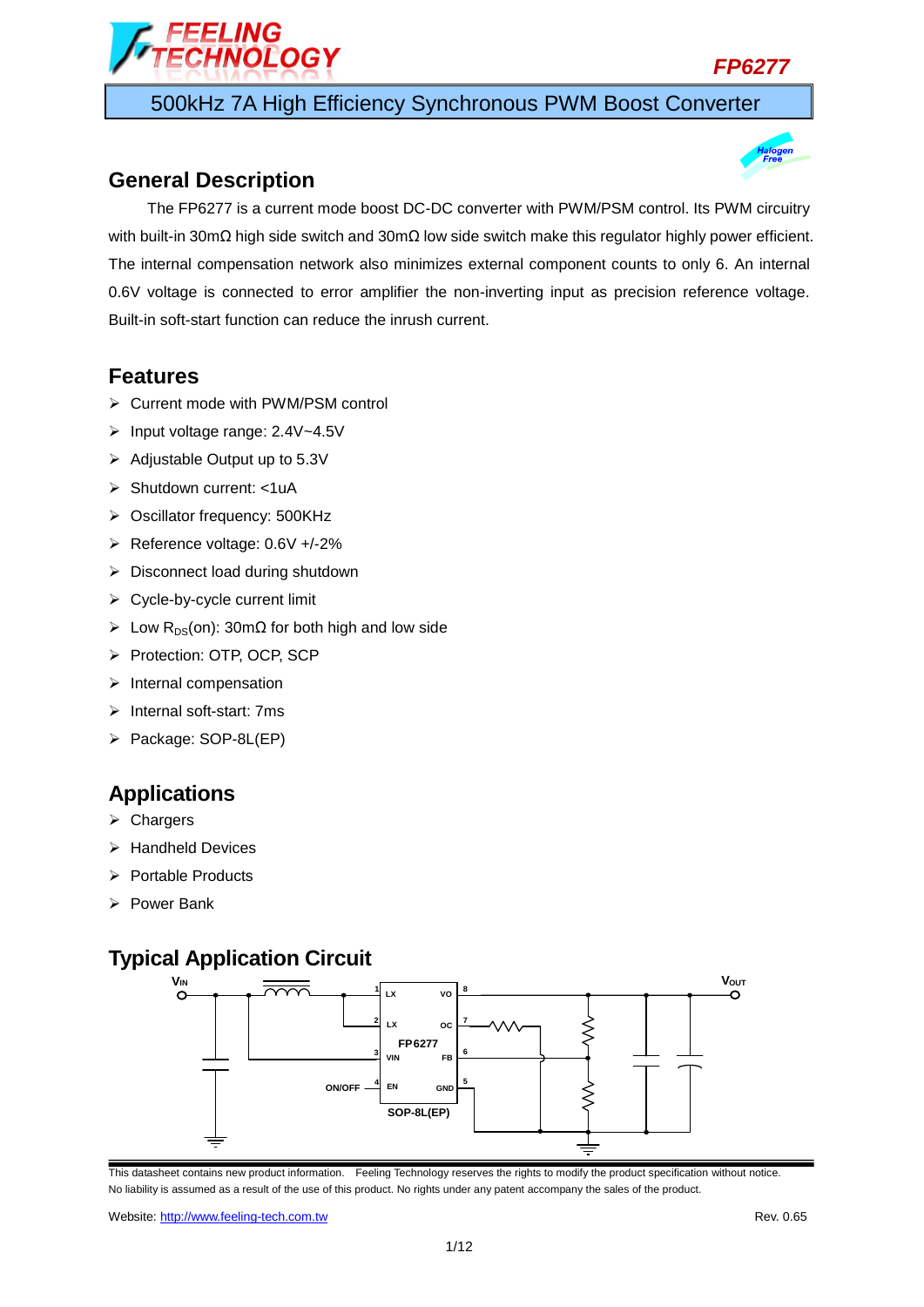



500kHz 7A High Efficiency Synchronous PWM Boost Converter

### **General Description**



The FP6277 is a current mode boost DC-DC converter with PWM/PSM control. Its PWM circuitry with built-in 30mΩ high side switch and 30mΩ low side switch make this regulator highly power efficient. The internal compensation network also minimizes external component counts to only 6. An internal 0.6V voltage is connected to error amplifier the non-inverting input as precision reference voltage. Built-in soft-start function can reduce the inrush current.

### **Features**

- ▶ Current mode with PWM/PSM control
- Input voltage range: 2.4V~4.5V
- $\triangleright$  Adjustable Output up to 5.3V
- > Shutdown current: <1uA
- ▶ Oscillator frequency: 500KHz
- Reference voltage: 0.6V +/-2%
- $\triangleright$  Disconnect load during shutdown
- $\triangleright$  Cycle-by-cycle current limit
- $\triangleright$  Low R<sub>DS</sub>(on): 30mΩ for both high and low side
- Protection: OTP, OCP, SCP
- $\triangleright$  Internal compensation
- $\triangleright$  Internal soft-start: 7ms
- Package: SOP-8L(EP)

### **Applications**

- $\triangleright$  Chargers
- $\triangleright$  Handheld Devices
- $\triangleright$  Portable Products
- Power Bank

## **Typical Application Circuit**

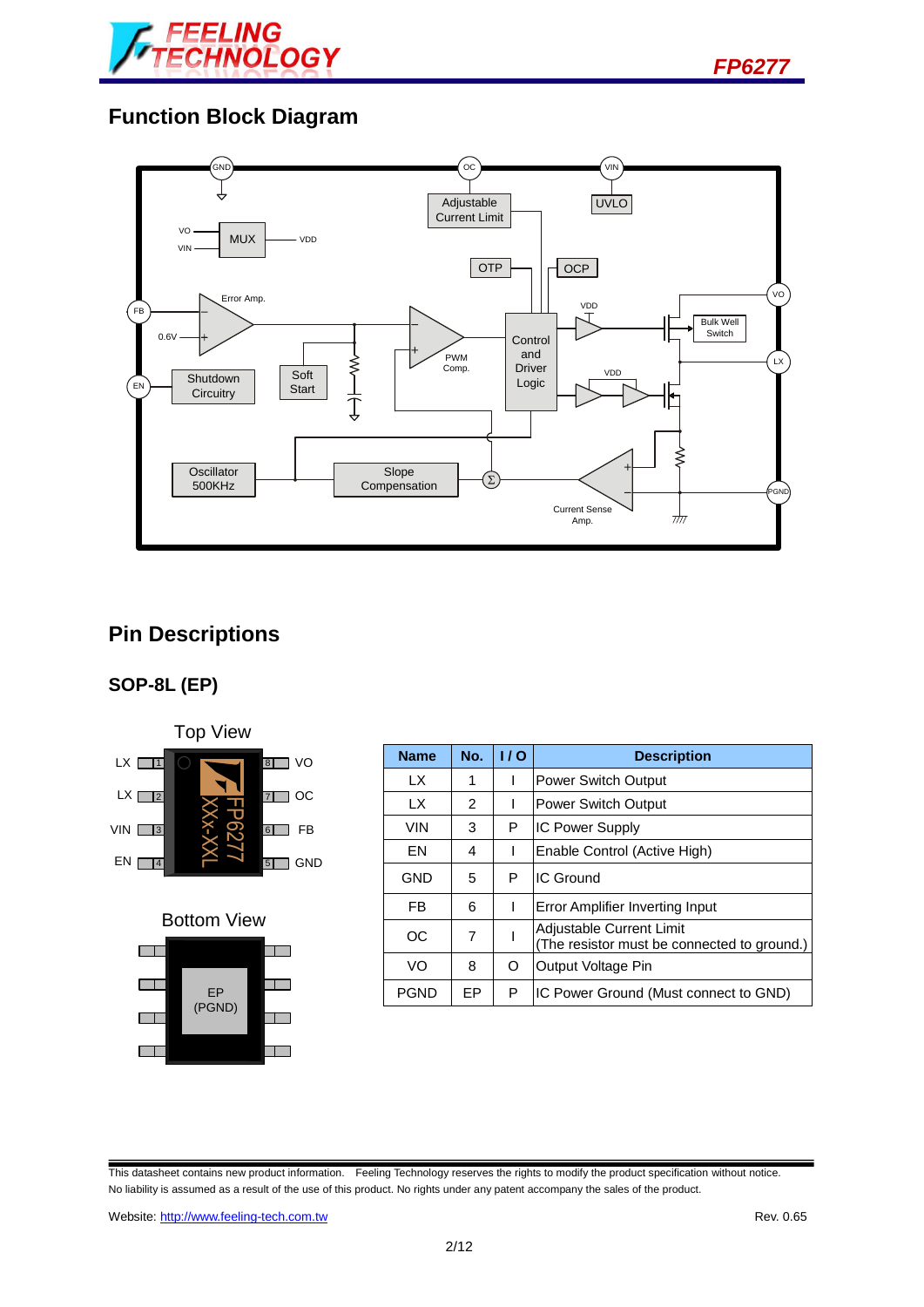



## **Function Block Diagram**



# **Pin Descriptions**

### **SOP-8L (EP)**





| $1 \vee \vee \vee \vee \vee \vee$                                             |             |           |     |                                                                         |
|-------------------------------------------------------------------------------|-------------|-----------|-----|-------------------------------------------------------------------------|
| LX <sub>I</sub><br>VO<br>$\overline{8}$                                       | <b>Name</b> | No.       | 1/0 | <b>Description</b>                                                      |
|                                                                               | LX.         | 1         |     | <b>Power Switch Output</b>                                              |
| $\mathsf{L} \mathsf{X}$ $\boxed{\phantom{1}2}$<br><b>OC</b><br>$\overline{7}$ | LX          | 2         |     | <b>Power Switch Output</b>                                              |
| <b>FB</b><br>$VIN$ $3$<br>$\boxed{6}$                                         | <b>VIN</b>  | 3         | P   | <b>IC Power Supply</b>                                                  |
| $EN \Box$<br><b>GND</b><br>$\overline{5}$                                     | EN          | 4         |     | Enable Control (Active High)                                            |
| $\vert 4$                                                                     | <b>GND</b>  | 5         | P   | <b>IC Ground</b>                                                        |
|                                                                               | FB.         | 6         |     | Error Amplifier Inverting Input                                         |
| <b>Bottom View</b>                                                            | <b>OC</b>   | 7         |     | Adjustable Current Limit<br>(The resistor must be connected to ground.) |
|                                                                               | VO          | 8         | O   | Output Voltage Pin                                                      |
| EP<br>(DCMIN)                                                                 | <b>PGND</b> | <b>EP</b> | P   | IC Power Ground (Must connect to GND)                                   |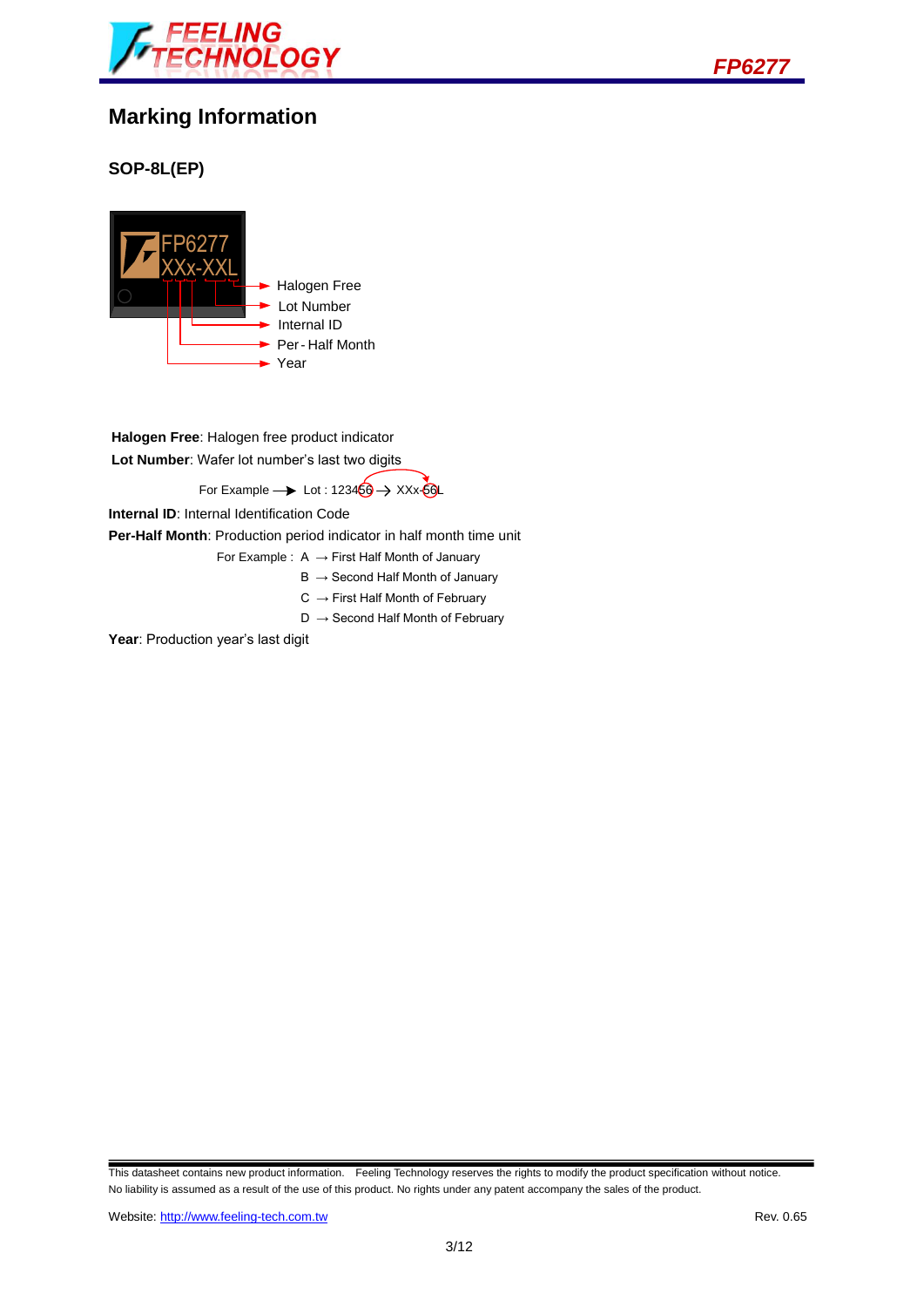



## **Marking Information**

### **SOP-8L(EP)**



**Halogen Free**: Halogen free product indicator **Lot Number**: Wafer lot number's last two digits

For Example  $\rightarrow$  Lot : 123456  $\rightarrow$  XXx-56L

**Internal ID**: Internal Identification Code

**Per-Half Month**: Production period indicator in half month time unit

For Example :  $A \rightarrow$  First Half Month of January

- $B \rightarrow$  Second Half Month of January
- $C \rightarrow$  First Half Month of February
- $D \rightarrow$  Second Half Month of February

Year: Production year's last digit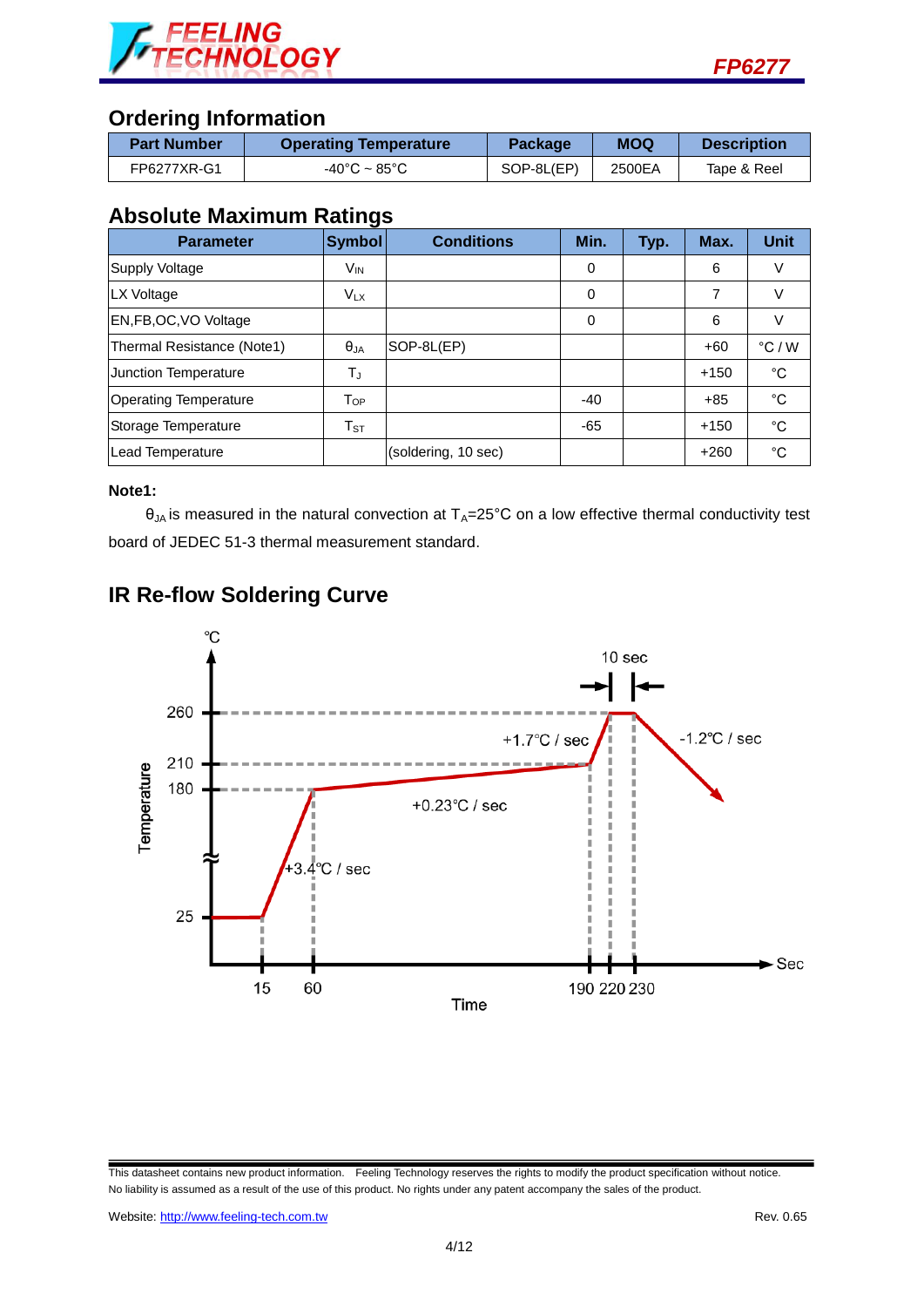



## **Ordering Information**

| <b>Part Number</b> | <b>Operating Temperature</b>      | <b>Package</b> | <b>MOQ</b> | <b>Description</b> |
|--------------------|-----------------------------------|----------------|------------|--------------------|
| FP6277XR-G1        | $-40^{\circ}$ C ~ 85 $^{\circ}$ C | SOP-8L(EP)     | 2500EA     | Tape & Reel        |

### **Absolute Maximum Ratings**

| <b>Parameter</b>             | <b>Symbol</b>              | <b>Conditions</b>   | Min.  | Typ. | Max.   | <b>Unit</b>     |
|------------------------------|----------------------------|---------------------|-------|------|--------|-----------------|
| <b>Supply Voltage</b>        | V <sub>IN</sub>            |                     | 0     |      | 6      | V               |
| LX Voltage                   | $V_{LX}$                   |                     | 0     |      | 7      | V               |
| EN, FB, OC, VO Voltage       |                            |                     | 0     |      | 6      |                 |
| Thermal Resistance (Note1)   | $\theta_{JA}$              | SOP-8L(EP)          |       |      | $+60$  | $\degree$ C / W |
| <b>Junction Temperature</b>  | TJ                         |                     |       |      | $+150$ | °C              |
| <b>Operating Temperature</b> | $T_{OP}$                   |                     | $-40$ |      | $+85$  | °C              |
| Storage Temperature          | $\mathsf{T}_{\texttt{ST}}$ |                     | $-65$ |      | $+150$ | °C              |
| Lead Temperature             |                            | (soldering, 10 sec) |       |      | $+260$ | $^{\circ}C$     |

#### **Note1:**

 $\theta_{JA}$  is measured in the natural convection at  $T_A=25^{\circ}C$  on a low effective thermal conductivity test board of JEDEC 51-3 thermal measurement standard.



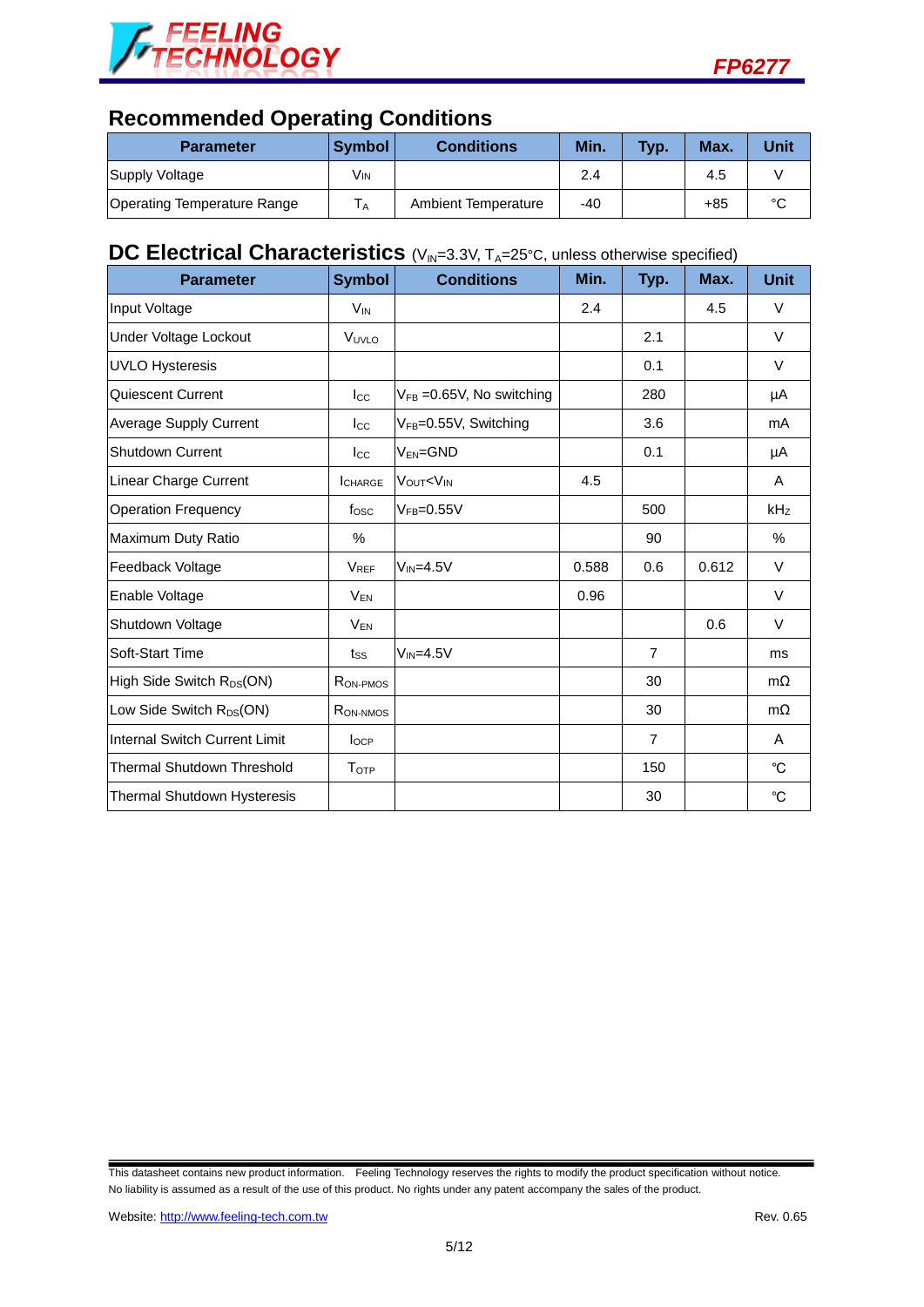



# **Recommended Operating Conditions**

| <b>Parameter</b>            | <b>Symbol</b> | <b>Conditions</b>   | Min. | Typ. | Max. | Unit   |
|-----------------------------|---------------|---------------------|------|------|------|--------|
| Supply Voltage              | Vın           |                     | 2.4  |      | 4.5  |        |
| Operating Temperature Range | ΙA            | Ambient Temperature | -40  |      | +85  | $\sim$ |

# **DC Electrical Characteristics** (V<sub>IN</sub>=3.3V, T<sub>A</sub>=25°C, unless otherwise specified)

| <b>Parameter</b>                      | <b>Symbol</b>        | <b>Conditions</b>                                                | Min.  | Typ.           | Max.  | <b>Unit</b> |
|---------------------------------------|----------------------|------------------------------------------------------------------|-------|----------------|-------|-------------|
| Input Voltage                         | $V_{IN}$             |                                                                  | 2.4   |                | 4.5   | $\vee$      |
| <b>Under Voltage Lockout</b>          | VUVLO                |                                                                  |       | 2.1            |       | $\vee$      |
| <b>UVLO Hysteresis</b>                |                      |                                                                  |       | 0.1            |       | $\vee$      |
| Quiescent Current                     | $_{\rm lcc}$         | $V_{FB}$ =0.65V, No switching                                    |       | 280            |       | μA          |
| <b>Average Supply Current</b>         | $_{\text{Lcc}}$      | V <sub>FB</sub> =0.55V, Switching                                |       | 3.6            |       | mA          |
| <b>Shutdown Current</b>               | $_{\rm lcc}$         | $V_{EN} = GND$                                                   |       | 0.1            |       | μA          |
| Linear Charge Current                 | <b>I</b> CHARGE      | VOUT <vin< td=""><td>4.5</td><td></td><td></td><td>A</td></vin<> | 4.5   |                |       | A           |
| <b>Operation Frequency</b>            | fosc                 | $VFB=0.55V$                                                      |       | 500            |       | kHz         |
| Maximum Duty Ratio                    | %                    |                                                                  |       | 90             |       | $\%$        |
| Feedback Voltage                      | <b>VREF</b>          | $V_{IN} = 4.5V$                                                  | 0.588 | 0.6            | 0.612 | $\vee$      |
| Enable Voltage                        | <b>VEN</b>           |                                                                  | 0.96  |                |       | $\vee$      |
| Shutdown Voltage                      | $V_{EN}$             |                                                                  |       |                | 0.6   | $\vee$      |
| Soft-Start Time                       | tss                  | $V_{IN}=4.5V$                                                    |       | $\overline{7}$ |       | ms          |
| High Side Switch R <sub>DS</sub> (ON) | RON-PMOS             |                                                                  |       | 30             |       | $m\Omega$   |
| Low Side Switch R <sub>DS</sub> (ON)  | R <sub>ON-NMOS</sub> |                                                                  |       | 30             |       | $m\Omega$   |
| Internal Switch Current Limit         | $I_{OCP}$            |                                                                  |       | $\overline{7}$ |       | A           |
| <b>Thermal Shutdown Threshold</b>     | T <sub>OTP</sub>     |                                                                  |       | 150            |       | °C          |
| Thermal Shutdown Hysteresis           |                      |                                                                  |       | 30             |       | °C          |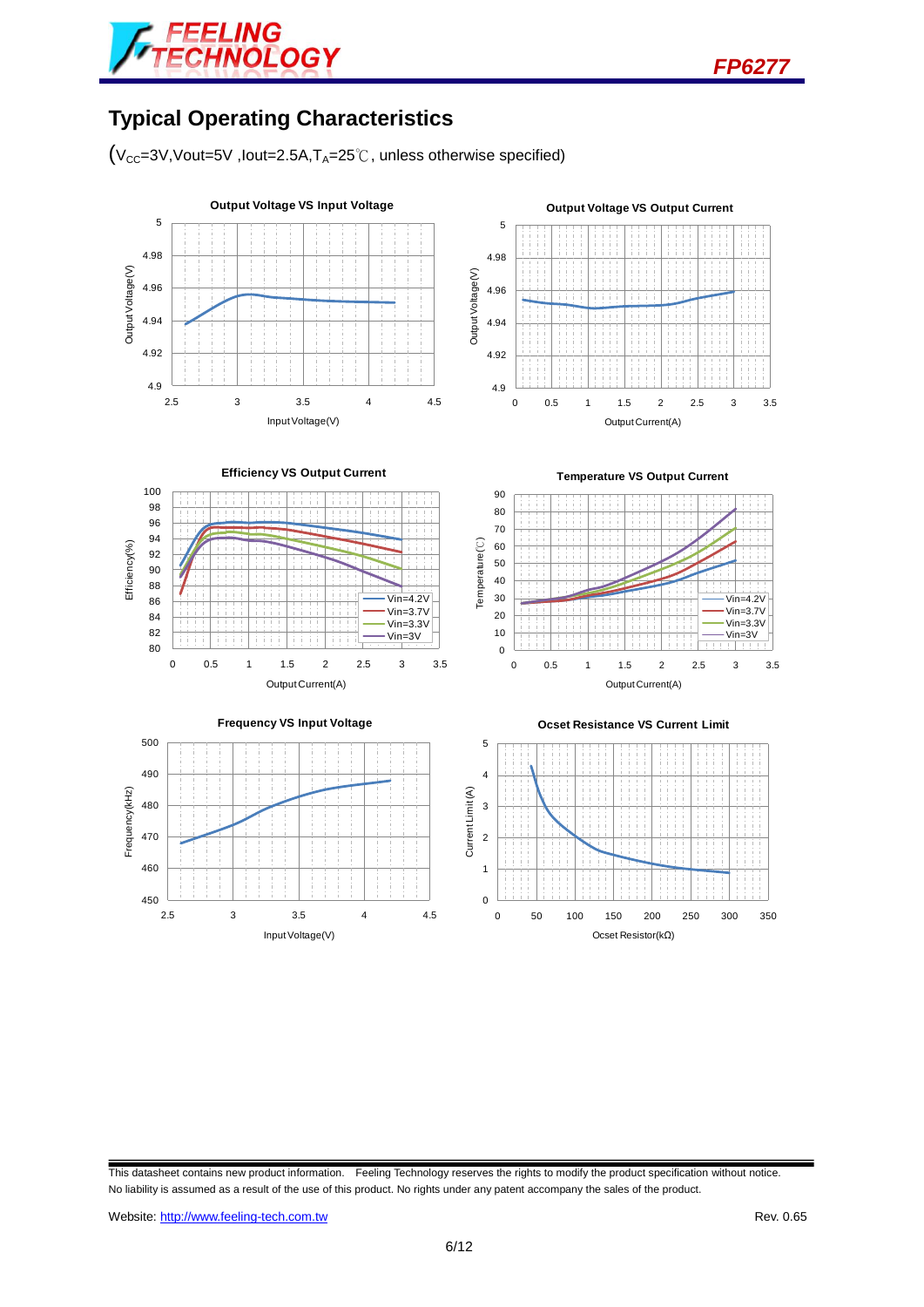

*FP6277*

# **Typical Operating Characteristics**

 $(V_{CC}=3V,Vout=5V$ , lout=2.5A,  $T_A=25^\circ\text{C}$ , unless otherwise specified)

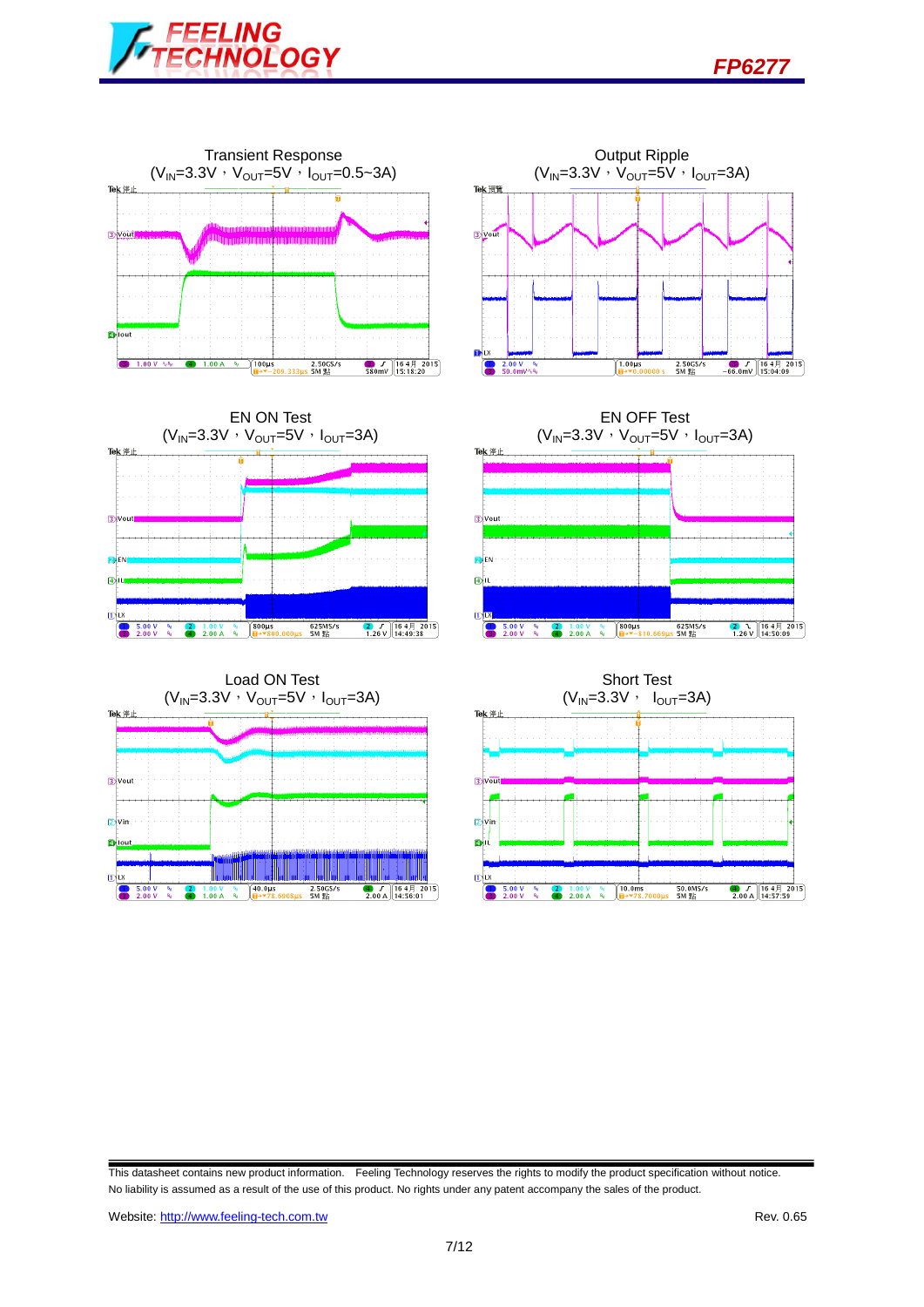













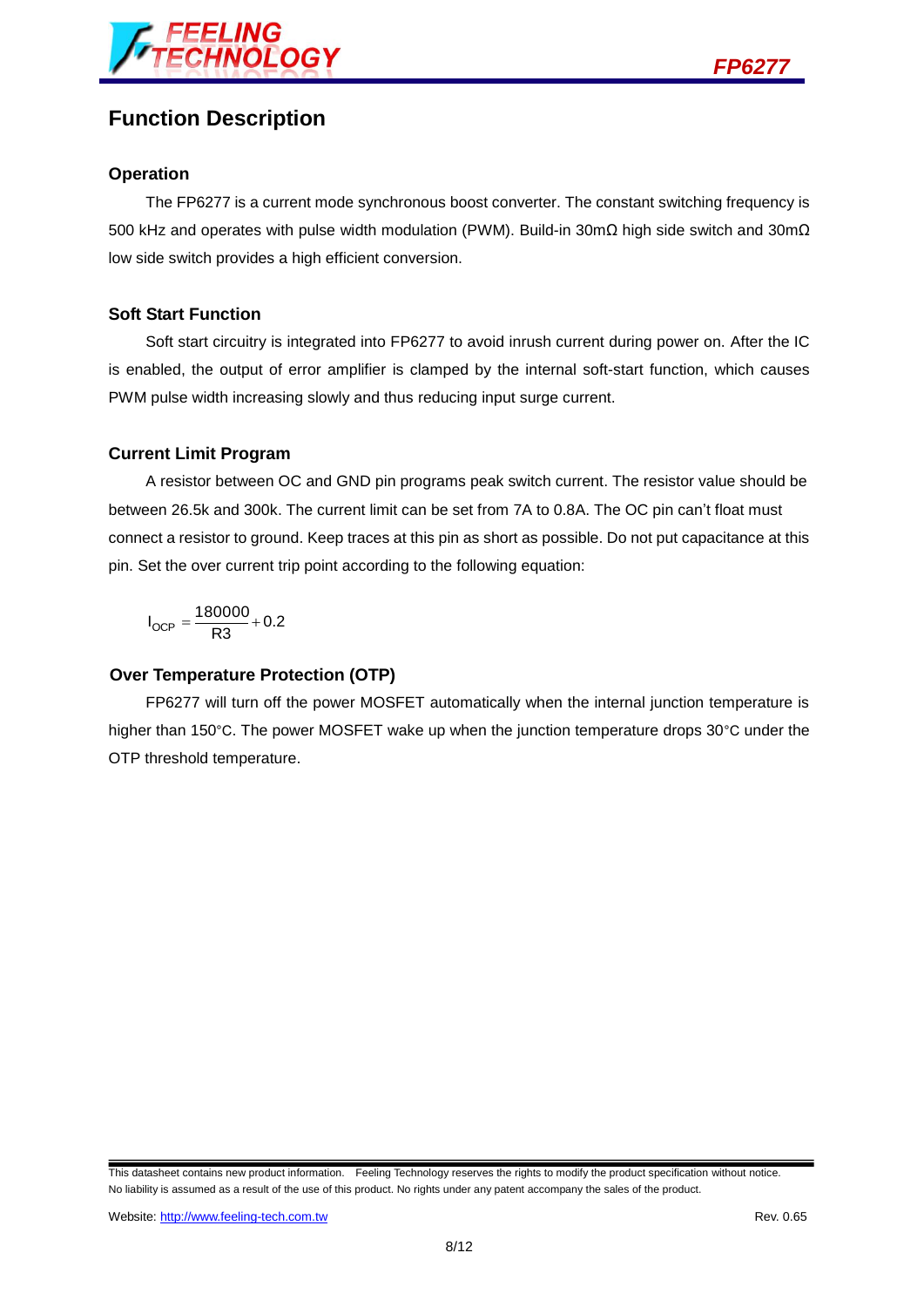



## **Function Description**

#### **Operation**

The FP6277 is a current mode synchronous boost converter. The constant switching frequency is 500 kHz and operates with pulse width modulation (PWM). Build-in 30mΩ high side switch and 30mΩ low side switch provides a high efficient conversion.

#### **Soft Start Function**

Soft start circuitry is integrated into FP6277 to avoid inrush current during power on. After the IC is enabled, the output of error amplifier is clamped by the internal soft-start function, which causes PWM pulse width increasing slowly and thus reducing input surge current.

#### **Current Limit Program**

A resistor between OC and GND pin programs peak switch current. The resistor value should be between 26.5k and 300k. The current limit can be set from 7A to 0.8A. The OC pin can't float must connect a resistor to ground. Keep traces at this pin as short as possible. Do not put capacitance at this pin. Set the over current trip point according to the following equation:

 $I_{OCP} = \frac{180000}{R3} + 0.2$ 

#### **Over Temperature Protection (OTP)**

FP6277 will turn off the power MOSFET automatically when the internal junction temperature is higher than 150°C. The power MOSFET wake up when the junction temperature drops 30°C under the OTP threshold temperature.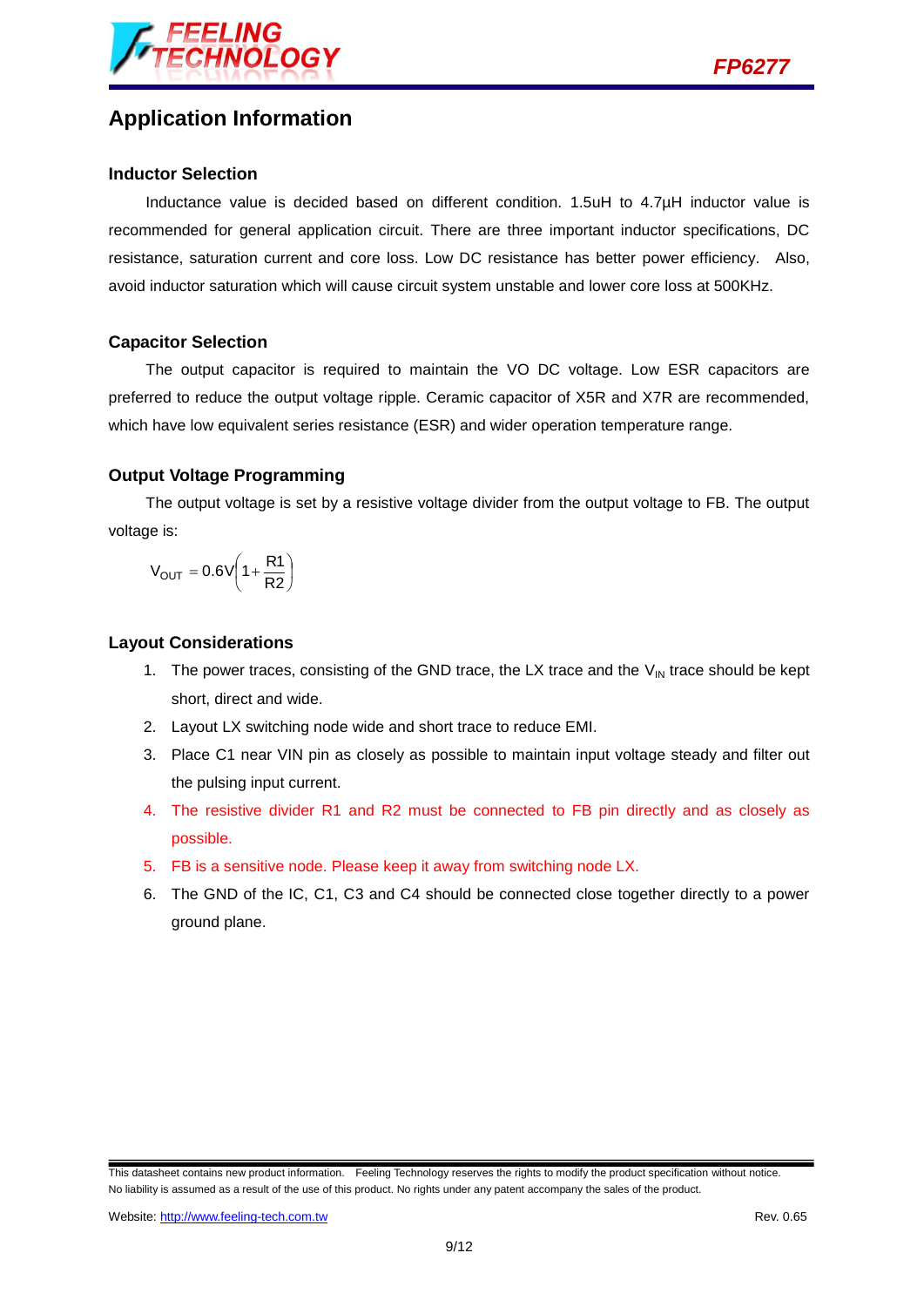



## **Application Information**

#### **Inductor Selection**

Inductance value is decided based on different condition. 1.5uH to 4.7µH inductor value is recommended for general application circuit. There are three important inductor specifications, DC resistance, saturation current and core loss. Low DC resistance has better power efficiency. Also, avoid inductor saturation which will cause circuit system unstable and lower core loss at 500KHz.

#### **Capacitor Selection**

The output capacitor is required to maintain the VO DC voltage. Low ESR capacitors are preferred to reduce the output voltage ripple. Ceramic capacitor of X5R and X7R are recommended, which have low equivalent series resistance (ESR) and wider operation temperature range.

#### **Output Voltage Programming**

The output voltage is set by a resistive voltage divider from the output voltage to FB. The output voltage is:

$$
V_{OUT} = 0.6V \left(1 + \frac{R1}{R2}\right)
$$

#### **Layout Considerations**

- 1. The power traces, consisting of the GND trace, the LX trace and the  $V_{\text{IN}}$  trace should be kept short, direct and wide.
- 2. Layout LX switching node wide and short trace to reduce EMI.
- 3. Place C1 near VIN pin as closely as possible to maintain input voltage steady and filter out the pulsing input current.
- 4. The resistive divider R1 and R2 must be connected to FB pin directly and as closely as possible.
- 5. FB is a sensitive node. Please keep it away from switching node LX.
- 6. The GND of the IC, C1, C3 and C4 should be connected close together directly to a power ground plane.

This datasheet contains new product information. Feeling Technology reserves the rights to modify the product specification without notice. No liability is assumed as a result of the use of this product. No rights under any patent accompany the sales of the product.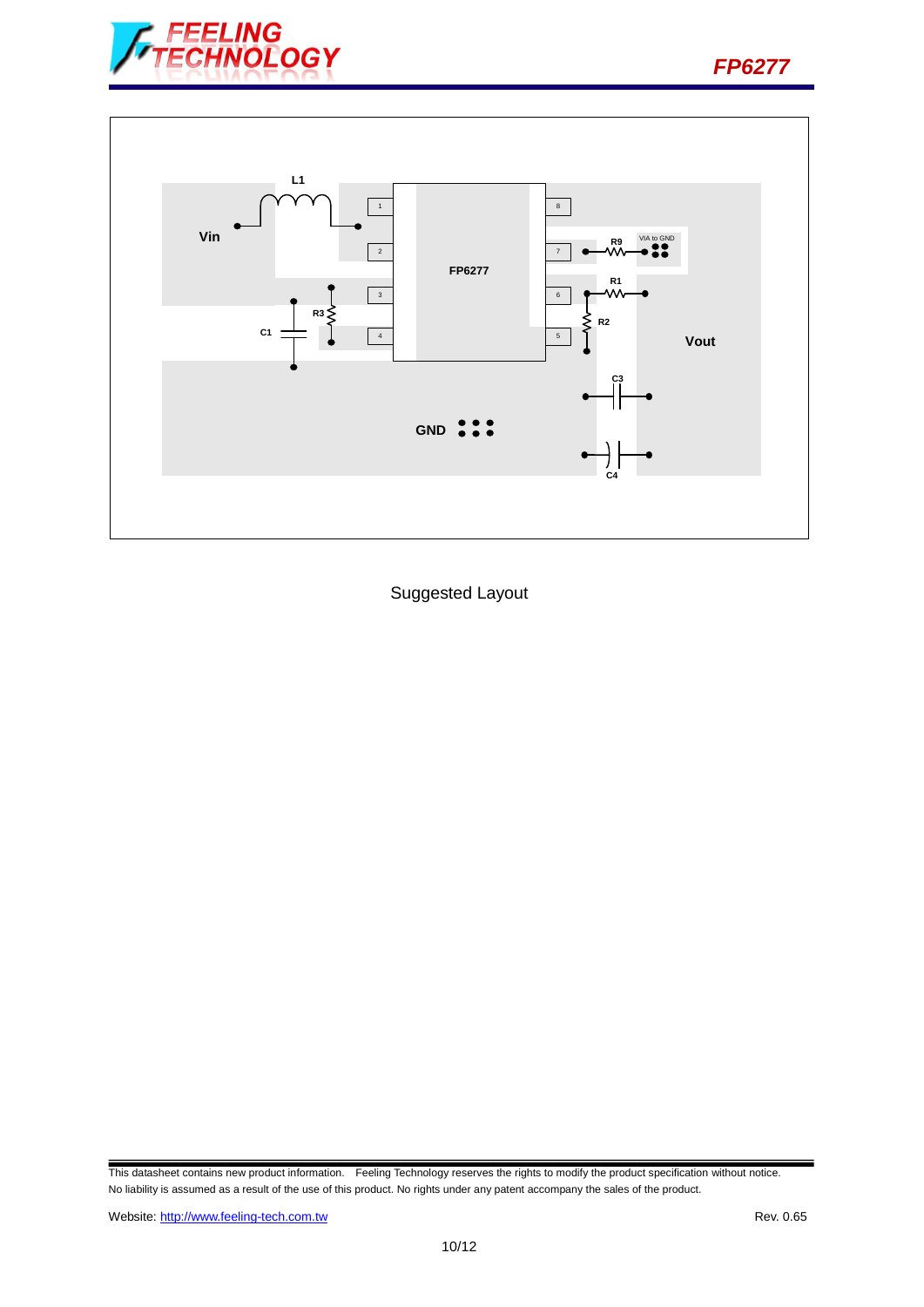



Suggested Layout

This datasheet contains new product information. Feeling Technology reserves the rights to modify the product specification without notice. No liability is assumed as a result of the use of this product. No rights under any patent accompany the sales of the product.

*FP6277*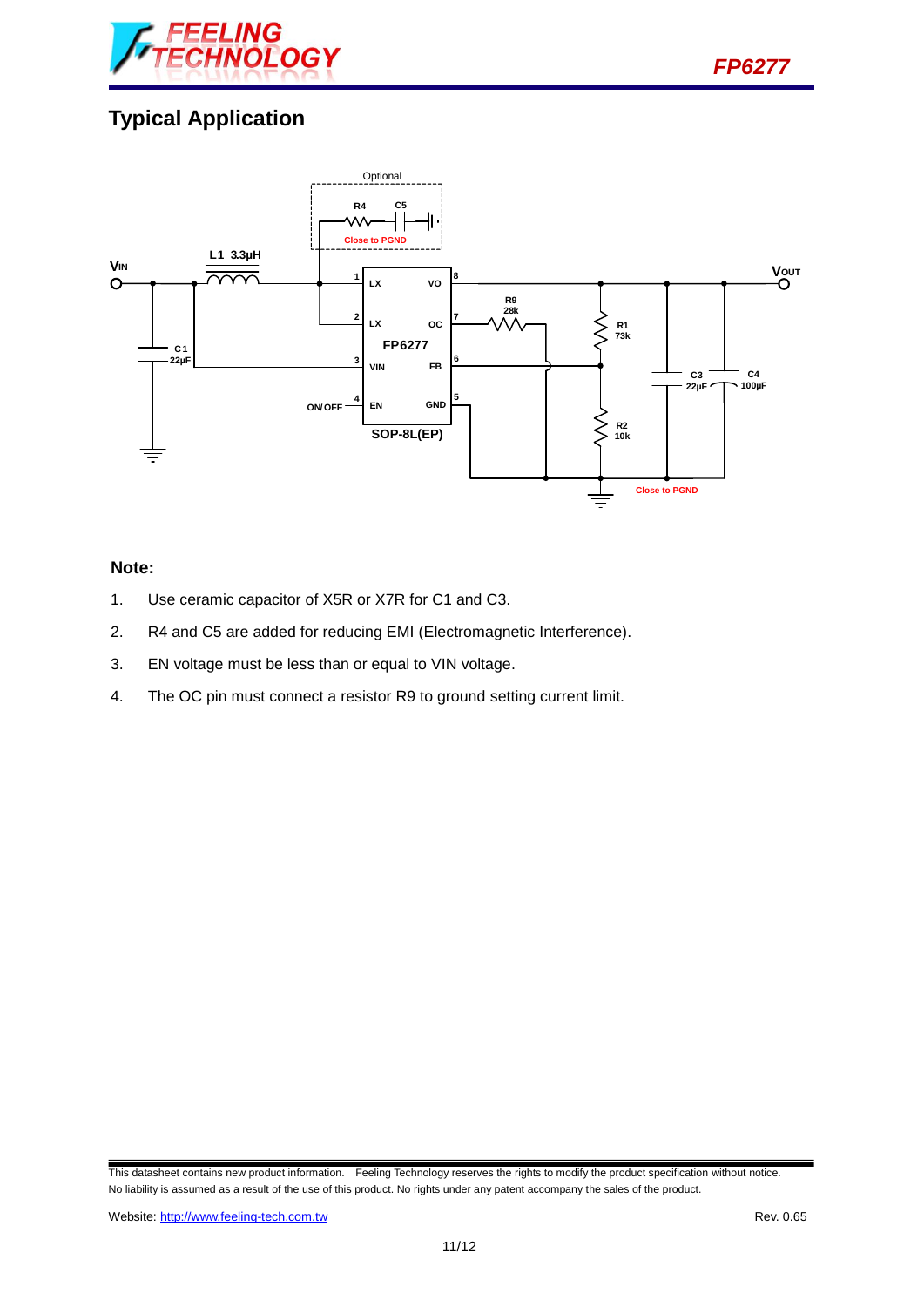

# **Typical Application**



### **Note:**

- 1. Use ceramic capacitor of X5R or X7R for C1 and C3.
- 2. R4 and C5 are added for reducing EMI (Electromagnetic Interference).
- 3. EN voltage must be less than or equal to VIN voltage.
- 4. The OC pin must connect a resistor R9 to ground setting current limit.